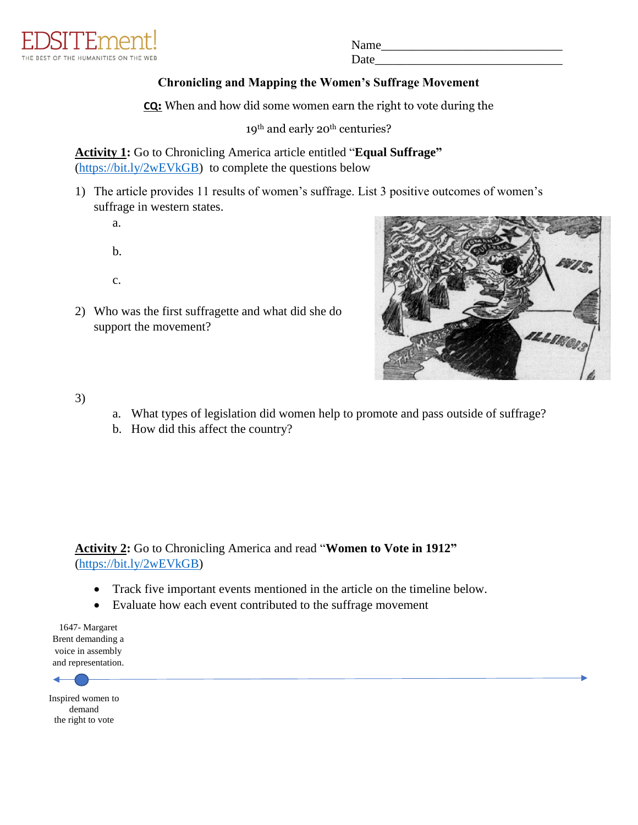

Name Date

## **Chronicling and Mapping the Women's Suffrage Movement**

**CQ:** When and how did some women earn the right to vote during the

19<sup>th</sup> and early 20<sup>th</sup> centuries?

**Activity 1:** Go to Chronicling America article entitled "**Equal Suffrage"** [\(https://bit.ly/2wEVkGB\)](https://bit.ly/2wEVkGB) to complete the questions below

- 1) The article provides 11 results of women's suffrage. List 3 positive outcomes of women's suffrage in western states.
	- a. b.

c.

2) Who was the first suffragette and what did she do support the movement?



3)

- a. What types of legislation did women help to promote and pass outside of suffrage?
- b. How did this affect the country?

**Activity 2:** Go to Chronicling America and read "**Women to Vote in 1912"** [\(https://bit.ly/2wEVkGB\)](https://bit.ly/2wEVkGB)

- Track five important events mentioned in the article on the timeline below.
- Evaluate how each event contributed to the suffrage movement

1647- Margaret Brent demanding a voice in assembly and representation.



Inspired women to demand the right to vote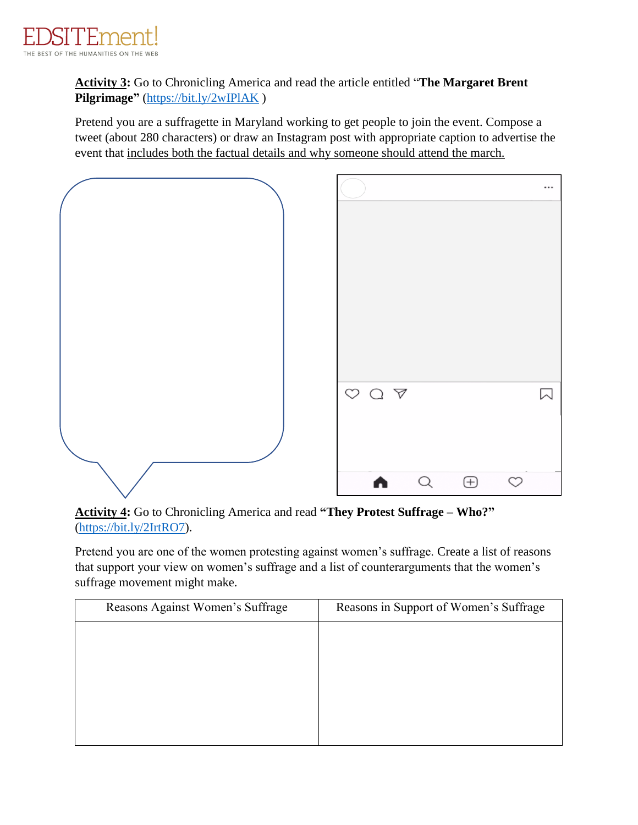

**Activity 3:** Go to Chronicling America and read the article entitled "**The Margaret Brent Pilgrimage"** [\(https://bit.ly/2wIPlAK](https://bit.ly/2wIPlAK) )

Pretend you are a suffragette in Maryland working to get people to join the event. Compose a tweet (about 280 characters) or draw an Instagram post with appropriate caption to advertise the event that includes both the factual details and why someone should attend the march.



**Activity 4:** Go to Chronicling America and read **"They Protest Suffrage – Who?"** [\(https://bit.ly/2IrtRO7\)](https://bit.ly/2IrtRO7).

Pretend you are one of the women protesting against women's suffrage. Create a list of reasons that support your view on women's suffrage and a list of counterarguments that the women's suffrage movement might make.

| Reasons Against Women's Suffrage | Reasons in Support of Women's Suffrage |  |  |
|----------------------------------|----------------------------------------|--|--|
|                                  |                                        |  |  |
|                                  |                                        |  |  |
|                                  |                                        |  |  |
|                                  |                                        |  |  |
|                                  |                                        |  |  |